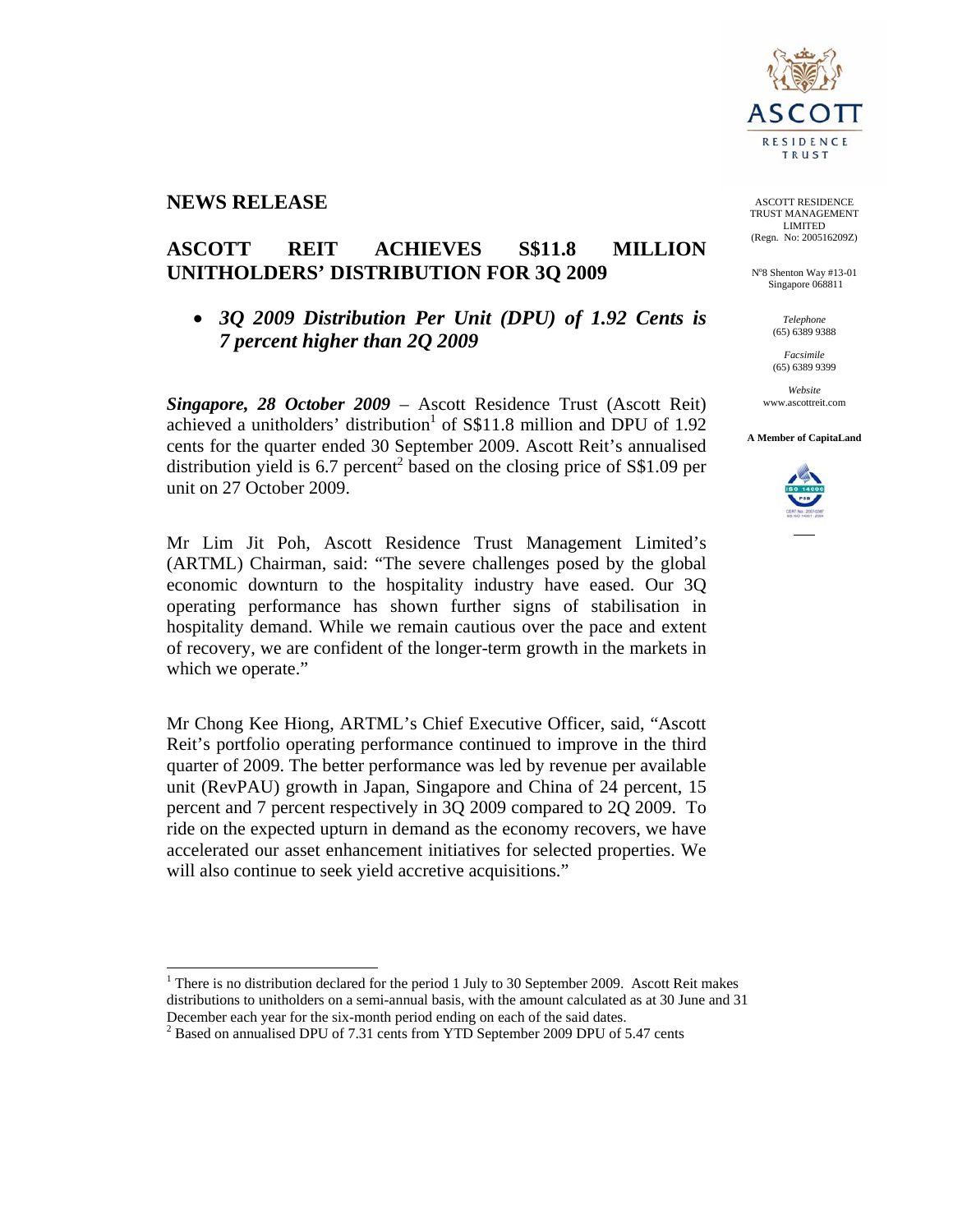

# **NEWS RELEASE**

 $\overline{a}$ 

# **ASCOTT REIT ACHIEVES S\$11.8 MILLION UNITHOLDERS' DISTRIBUTION FOR 3Q 2009**

# • *3Q 2009 Distribution Per Unit (DPU) of 1.92 Cents is 7 percent higher than 2Q 2009*

*Singapore, 28 October 2009* – Ascott Residence Trust (Ascott Reit) achieved a unitholders' distribution<sup>1</sup> of S\$11.8 million and DPU of 1.92 cents for the quarter ended 30 September 2009. Ascott Reit's annualised distribution yield is  $6.7$  percent<sup>2</sup> based on the closing price of  $S$1.09$  per unit on 27 October 2009.

Mr Lim Jit Poh, Ascott Residence Trust Management Limited's (ARTML) Chairman, said: "The severe challenges posed by the global economic downturn to the hospitality industry have eased. Our 3Q operating performance has shown further signs of stabilisation in hospitality demand. While we remain cautious over the pace and extent of recovery, we are confident of the longer-term growth in the markets in which we operate."

Mr Chong Kee Hiong, ARTML's Chief Executive Officer, said, "Ascott Reit's portfolio operating performance continued to improve in the third quarter of 2009. The better performance was led by revenue per available unit (RevPAU) growth in Japan, Singapore and China of 24 percent, 15 percent and 7 percent respectively in 3Q 2009 compared to 2Q 2009. To ride on the expected upturn in demand as the economy recovers, we have accelerated our asset enhancement initiatives for selected properties. We will also continue to seek yield accretive acquisitions."

<sup>1</sup> There is no distribution declared for the period 1 July to 30 September 2009. Ascott Reit makes distributions to unitholders on a semi-annual basis, with the amount calculated as at 30 June and 31 December each year for the six-month period ending on each of the said dates.

ASCOTT RESIDENCE TRUST MANAGEMENT LIMITED (Regn. No: 200516209Z)

N°8 Shenton Way #13-01 Singapore 068811

> *Telephone*  (65) 6389 9388

*Facsimile*  (65) 6389 9399

*Website*  www.ascottreit.com

**A Member of CapitaLand** 



<sup>&</sup>lt;sup>2</sup> Based on annualised DPU of 7.31 cents from YTD September 2009 DPU of 5.47 cents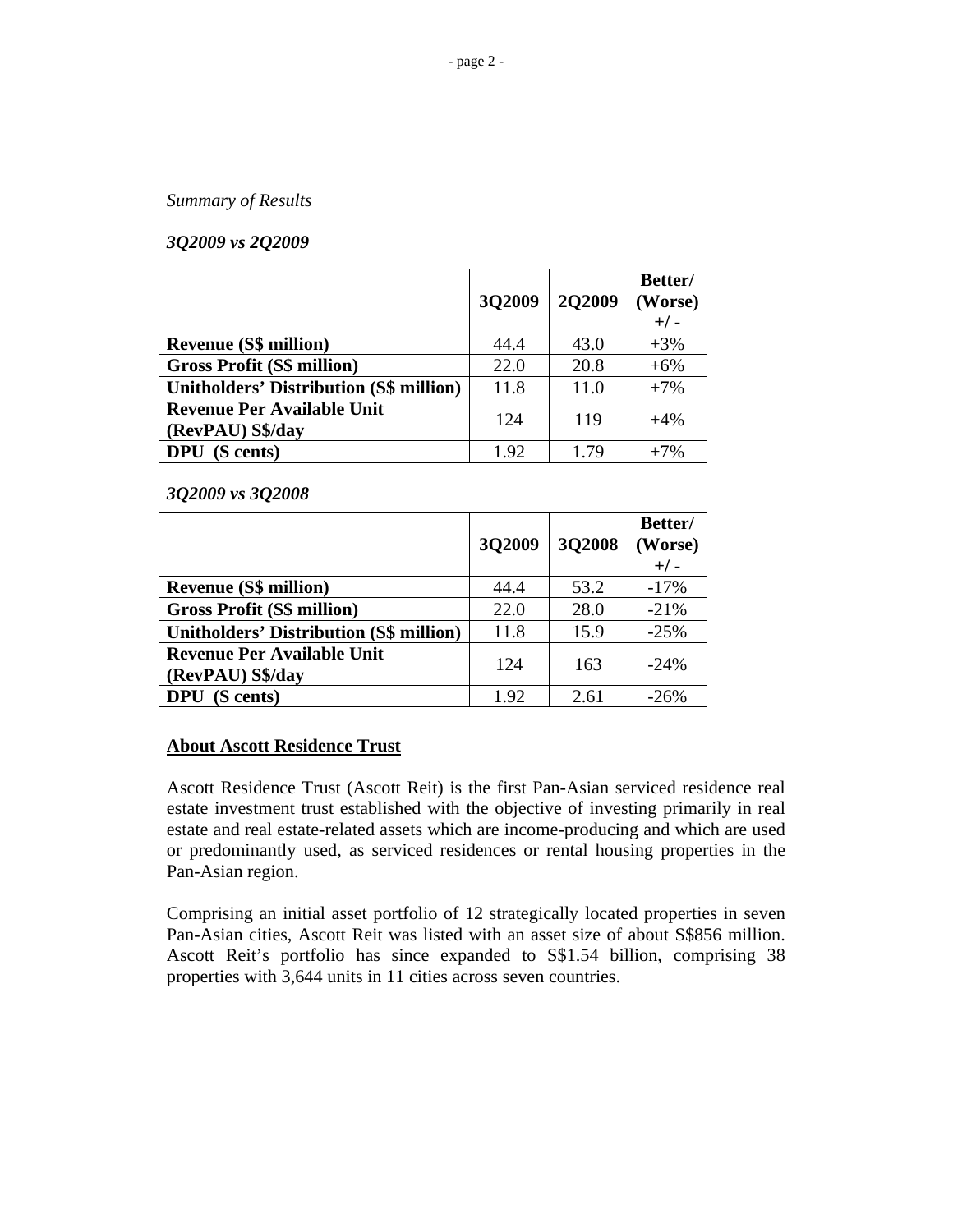### *Summary of Results*

## *3Q2009 vs 2Q2009*

|                                                       | 3Q2009 | <b>2O2009</b> | Better/<br>(Worse)<br>$+/-$ |
|-------------------------------------------------------|--------|---------------|-----------------------------|
| <b>Revenue (S\$ million)</b>                          | 44.4   | 43.0          | $+3%$                       |
| <b>Gross Profit (S\$ million)</b>                     | 22.0   | 20.8          | $+6%$                       |
| <b>Unitholders' Distribution (S\$ million)</b>        | 11.8   | 11.0          | $+7%$                       |
| <b>Revenue Per Available Unit</b><br>(RevPAU) S\$/day | 124    | 119           | $+4%$                       |
| <b>DPU</b> (S cents)                                  | 1.92   | 1.79          | $+7%$                       |

*3Q2009 vs 3Q2008* 

|                                                       | 3Q2009 | 3Q2008 | Better/<br>(Worse)<br>$+/-$ |
|-------------------------------------------------------|--------|--------|-----------------------------|
| <b>Revenue (S\$ million)</b>                          | 44.4   | 53.2   | $-17%$                      |
| <b>Gross Profit (S\$ million)</b>                     | 22.0   | 28.0   | $-21%$                      |
| <b>Unitholders' Distribution (S\$ million)</b>        | 11.8   | 15.9   | $-25%$                      |
| <b>Revenue Per Available Unit</b><br>(RevPAU) S\$/day | 124    | 163    | $-24%$                      |
| <b>DPU</b> (S cents)                                  | 1.92   | 2.61   | $-26%$                      |

### **About Ascott Residence Trust**

Ascott Residence Trust (Ascott Reit) is the first Pan-Asian serviced residence real estate investment trust established with the objective of investing primarily in real estate and real estate-related assets which are income-producing and which are used or predominantly used, as serviced residences or rental housing properties in the Pan-Asian region.

Comprising an initial asset portfolio of 12 strategically located properties in seven Pan-Asian cities, Ascott Reit was listed with an asset size of about S\$856 million. Ascott Reit's portfolio has since expanded to S\$1.54 billion, comprising 38 properties with 3,644 units in 11 cities across seven countries.